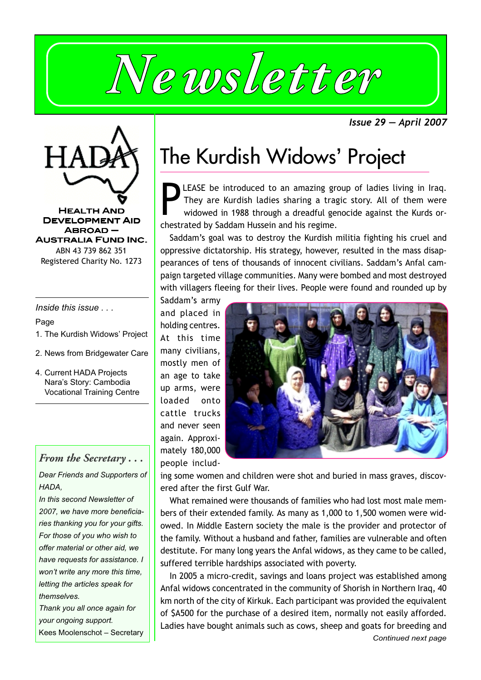

*Issue 29 — April 2007*



Registered Charity No. 1273

*Inside this issue . . .* Page

- 1. The Kurdish Widows' Project
- 2. News from Bridgewater Care
- 4. Current HADA Projects Nara's Story: Cambodia Vocational Training Centre

# *From the Secretary . . .*

*Dear Friends and Supporters of HADA,*

*In this second Newsletter of 2007, we have more beneficiaries thanking you for your gifts. For those of you who wish to offer material or other aid, we have requests for assistance. I won't write any more this time, letting the articles speak for themselves.*

*Thank you all once again for your ongoing support.* Kees Moolenschot – Secretary

# The Kurdish Widows' Project

**PEASE** be introduced to an amazing gray They are Kurdish ladies sharing a traquid widowed in 1988 through a dreadful ge chestrated by Saddam Hussein and his regime. LEASE be introduced to an amazing group of ladies living in Iraq. They are Kurdish ladies sharing a tragic story. All of them were widowed in 1988 through a dreadful genocide against the Kurds or-

Saddam's goal was to destroy the Kurdish militia fighting his cruel and oppressive dictatorship. His strategy, however, resulted in the mass disappearances of tens of thousands of innocent civilians. Saddam's Anfal campaign targeted village communities. Many were bombed and most destroyed with villagers fleeing for their lives. People were found and rounded up by

Saddam's army and placed in holding centres. At this time many civilians, mostly men of an age to take up arms, were loaded onto cattle trucks and never seen again. Approximately 180,000 people includ-



ing some women and children were shot and buried in mass graves, discovered after the first Gulf War.

What remained were thousands of families who had lost most male members of their extended family. As many as 1,000 to 1,500 women were widowed. In Middle Eastern society the male is the provider and protector of the family. Without a husband and father, families are vulnerable and often destitute. For many long years the Anfal widows, as they came to be called, suffered terrible hardships associated with poverty.

In 2005 a micro-credit, savings and loans project was established among Anfal widows concentrated in the community of Shorish in Northern Iraq, 40 km north of the city of Kirkuk. Each participant was provided the equivalent of \$A500 for the purchase of a desired item, normally not easily afforded. Ladies have bought animals such as cows, sheep and goats for breeding and *Continued next page*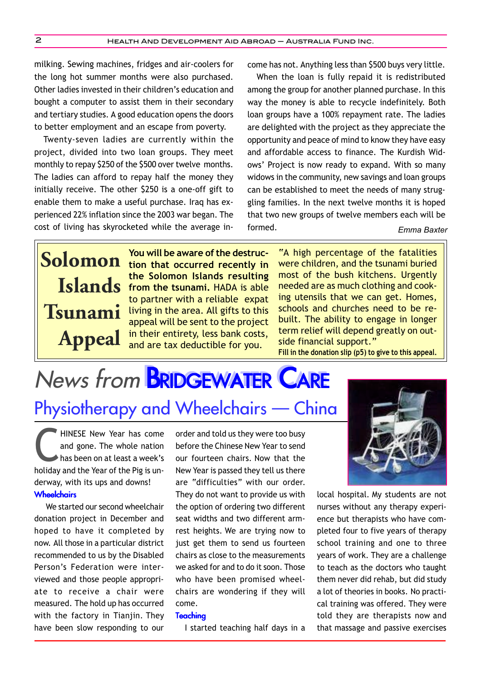milking. Sewing machines, fridges and air-coolers for the long hot summer months were also purchased. Other ladies invested in their children's education and bought a computer to assist them in their secondary and tertiary studies. A good education opens the doors to better employment and an escape from poverty.

Twenty-seven ladies are currently within the project, divided into two loan groups. They meet monthly to repay \$250 of the \$500 over twelve months. The ladies can afford to repay half the money they initially receive. The other \$250 is a one-off gift to enable them to make a useful purchase. Iraq has experienced 22% inflation since the 2003 war began. The cost of living has skyrocketed while the average income has not. Anything less than \$500 buys very little.

When the loan is fully repaid it is redistributed among the group for another planned purchase. In this way the money is able to recycle indefinitely. Both loan groups have a 100% repayment rate. The ladies are delighted with the project as they appreciate the opportunity and peace of mind to know they have easy and affordable access to finance. The Kurdish Widows' Project is now ready to expand. With so many widows in the community, new savings and loan groups can be established to meet the needs of many struggling families. In the next twelve months it is hoped that two new groups of twelve members each will be formed. *Emma Baxter*

**Tsunami Appeal**

**You will be aware of the destruc-Solomon** You will be aware of the destruc-<br>**Solomon** tion that occurred recently in **the Solomon Islands resulting Islands** from the tsunami. HADA is able to partner with a reliable expat living in the area. All gifts to this appeal will be sent to the project in their entirety, less bank costs, and are tax deductible for you.

"A high percentage of the fatalities were children, and the tsunami buried most of the bush kitchens. Urgently needed are as much clothing and cooking utensils that we can get. Homes, schools and churches need to be rebuilt. The ability to engage in longer term relief will depend greatly on outside financial support." **Fill in the donation slip (p5) to give to this appeal.**

# News from **BRIDGEWATER CARE** Physiotherapy and Wheelchairs — China

HINESE New Year has come and gone. The whole nation has been on at least a week's holiday and the Year of the Pig is underway, with its ups and downs!? **Wheelchairs** 

We started our second wheelchair donation project in December and hoped to have it completed by now. All those in a particular district recommended to us by the Disabled Person's Federation were interviewed and those people appropriate to receive a chair were measured. The hold up has occurred with the factory in Tianjin. They have been slow responding to our order and told us they were too busy before the Chinese New Year to send our fourteen chairs. Now that the New Year is passed they tell us there are "difficulties" with our order. They do not want to provide us with the option of ordering two different seat widths and two different armrest heights. We are trying now to just get them to send us fourteen chairs as close to the measurements we asked for and to do it soon. Those who have been promised wheelchairs are wondering if they will come.

#### **Teaching**

I started teaching half days in a



local hospital. My students are not nurses without any therapy experience but therapists who have completed four to five years of therapy school training and one to three years of work. They are a challenge to teach as the doctors who taught them never did rehab, but did study a lot of theories in books. No practical training was offered. They were told they are therapists now and that massage and passive exercises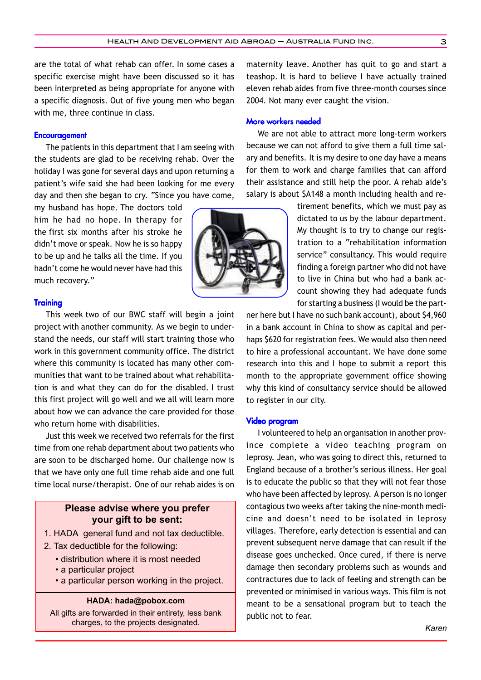are the total of what rehab can offer. In some cases a specific exercise might have been discussed so it has been interpreted as being appropriate for anyone with a specific diagnosis. Out of five young men who began with me, three continue in class.

#### **Encouragement**

The patients in this department that I am seeing with the students are glad to be receiving rehab. Over the holiday I was gone for several days and upon returning a patient's wife said she had been looking for me every day and then she began to cry. "Since you have come,

my husband has hope. The doctors told him he had no hope. In therapy for the first six months after his stroke he didn't move or speak. Now he is so happy to be up and he talks all the time. If you hadn't come he would never have had this much recovery."?

**Training** 

This week two of our BWC staff will begin a joint project with another community. As we begin to understand the needs, our staff will start training those who work in this government community office. The district where this community is located has many other communities that want to be trained about what rehabilitation is and what they can do for the disabled. I trust this first project will go well and we all will learn more about how we can advance the care provided for those who return home with disabilities.

Just this week we received two referrals for the first time from one rehab department about two patients who are soon to be discharged home. Our challenge now is that we have only one full time rehab aide and one full time local nurse/therapist. One of our rehab aides is on

# **Please advise where you prefer your gift to be sent:**

- 1. HADA general fund and not tax deductible.
- 2. Tax deductible for the following:
	- distribution where it is most needed
	- a particular project
	- a particular person working in the project.

**HADA: hada@pobox.com**

All gifts are forwarded in their entirety, less bank charges, to the projects designated.

maternity leave. Another has quit to go and start a teashop. It is hard to believe I have actually trained eleven rehab aides from five three-month courses since 2004. Not many ever caught the vision.

### More workers needed

We are not able to attract more long-term workers because we can not afford to give them a full time salary and benefits. It is my desire to one day have a means for them to work and charge families that can afford their assistance and still help the poor. A rehab aide's salary is about \$A148 a month including health and re-

> tirement benefits, which we must pay as dictated to us by the labour department. My thought is to try to change our registration to a "rehabilitation information service" consultancy. This would require finding a foreign partner who did not have to live in China but who had a bank account showing they had adequate funds for starting a business (I would be the part-

ner here but I have no such bank account), about \$4,960 in a bank account in China to show as capital and perhaps \$620 for registration fees. We would also then need to hire a professional accountant. We have done some research into this and I hope to submit a report this month to the appropriate government office showing why this kind of consultancy service should be allowed to register in our city.

#### Video program

I volunteered to help an organisation in another province complete a video teaching program on leprosy.?Jean,?who was going to direct this, returned to England because of a brother's serious illness.?Her goal is to educate the public so that they will not fear those who have been affected by leprosy. A person is no longer contagious two weeks after taking the nine-month medicine and doesn't need to be isolated in leprosy villages. Therefore, early detection is essential and can prevent subsequent nerve damage that can result if the disease goes unchecked. Once cured, if there is nerve damage then secondary problems such as wounds and contractures due to lack of feeling and strength can be prevented or minimised in various ways. This film is not meant to be a sensational program but to teach the public not to fear.

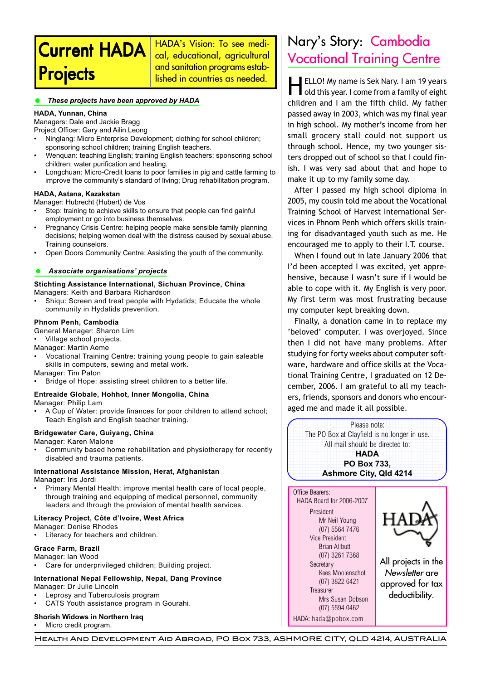# **Current HADA Projects**

HADA's Vision: To see medical, educational, agricultural and sanitation programs established in countries as needed.

#### *These projects have been approved by HADA*

#### **HADA, Yunnan, China**

Managers: Dale and Jackie Bragg

- Project Officer: Gary and Ailin Leong • Ninglang: Micro Enterprise Development; clothing for school children; sponsoring school children; training English teachers.
- Wenquan: teaching English; training English teachers; sponsoring school children; water purification and heating.
- Longchuan: Micro-Credit loans to poor families in pig and cattle farming to improve the community's standard of living; Drug rehabilitation program.

#### **HADA, Astana, Kazakstan**

Manager: Hubrecht (Hubert) de Vos

- Step: training to achieve skills to ensure that people can find gainful employment or go into business themselves.
- Pregnancy Crisis Centre: helping people make sensible family planning decisions; helping women deal with the distress caused by sexual abuse. Training counselors.
- Open Doors Community Centre: Assisting the youth of the community.

#### *Associate organisations' projects*

#### **Stichting Assistance International, Sichuan Province, China** Managers: Keith and Barbara Richardson

Shiqu: Screen and treat people with Hydatids; Educate the whole community in Hydatids prevention.

#### **Phnom Penh, Cambodia**

General Manager: Sharon Lim

• Village school projects.

- Manager: Martin Aeme
- Vocational Training Centre: training young people to gain saleable skills in computers, sewing and metal work.

Manager: Tim Paton

• Bridge of Hope: assisting street children to a better life.

# **Entreaide Globale, Hohhot, Inner Mongolia, China**

Manager: Philip Lam

• A Cup of Water: provide finances for poor children to attend school; Teach English and English teacher training.

#### **Bridgewater Care, Guiyang, China**

Manager: Karen Malone

• Community based home rehabilitation and physiotherapy for recently disabled and trauma patients.

# **International Assistance Mission, Herat, Afghanistan**

Manager: Iris Jordi

• Primary Mental Health: improve mental health care of local people, through training and equipping of medical personnel, community leaders and through the provision of mental health services.

### **Literacy Project, Côte d'lvoire, West Africa**

Manager: Denise Rhodes Literacy for teachers and children.

#### **Grace Farm, Brazil**

- Manager: lan Wood
- Care for underprivileged children; Building project.

# **International Nepal Fellowship, Nepal, Dang Province**

Manager: Dr Julie Lincoln

- Leprosy and Tuberculosis program
- CATS Youth assistance program in Gourahi.

### **Shorish Widows in Northern Iraq**

• Micro credit program.

# Nary's Story: Cambodia Vocational Training Centre

**HELLO!** My name is Sek Nary. I am 19 years<br>old this year. I come from a family of eight children and I am the fifth child. My father passed away in 2003, which was my final year in high school. My mother's income from her small grocery stall could not support us through school. Hence, my two younger sisters dropped out of school so that I could finish. I was very sad about that and hope to make it up to my family some day.

After I passed my high school diploma in 2005, my cousin told me about the Vocational Training School of Harvest International Services in Phnom Penh which offers skills training for disadvantaged youth such as me. He encouraged me to apply to their I.T. course.

When I found out in late January 2006 that I'd been accepted I was excited, yet apprehensive, because I wasn't sure if I would be able to cope with it. My English is very poor. My first term was most frustrating because my computer kept breaking down.

Finally, a donation came in to replace my 'beloved' computer. I was overjoyed. Since then I did not have many problems. After studying for forty weeks about computer software, hardware and office skills at the Vocational Training Centre, I graduated on 12 December, 2006. I am grateful to all my teachers, friends, sponsors and donors who encouraged me and made it all possible.



Vice President Brian Allbutt (07) 3261 7368

> Kees Moolenschot (07) 3822 6421

Mrs Susan Dobson (07) 5594 0462 HADA: hada@pobox.com

**Secretary** 

**Treasurer** 

All projects in the Newsletter are approved for tax deductibility.

Health And Development Aid Abroad, PO Box 733, ASHMORE CITY, QLD 4214, AUSTRALIA